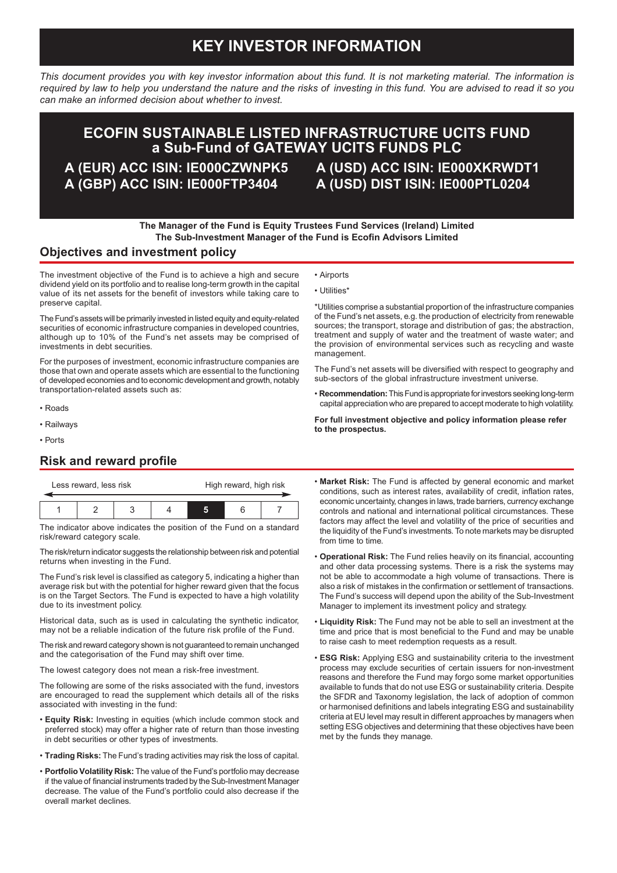# **KEY INVESTOR INFORMATION**

*This document provides you with key investor information about this fund. It is not marketing material. The information is required by law to help you understand the nature and the risks of investing in this fund. You are advised to read it so you can make an informed decision about whether to invest.*

## **ECOFIN SUSTAINABLE LISTED INFRASTRUCTURE UCITS FUND a Sub-Fund of GATEWAY UCITS FUNDS PLC**

**A (EUR) ACC ISIN: IE000CZWNPK5 A (GBP) ACC ISIN: IE000FTP3404**

**A (USD) ACC ISIN: IE000XKRWDT1 A (USD) DIST ISIN: IE000PTL0204**

#### **The Manager of the Fund is Equity Trustees Fund Services (Ireland) Limited The Sub-Investment Manager of the Fund is Ecofin Advisors Limited**

• Airports • Utilities\*

#### **Objectives and investment policy**

The investment objective of the Fund is to achieve a high and secure dividend yield on its portfolio and to realise long-term growth in the capital value of its net assets for the benefit of investors while taking care to preserve capital.

The Fund's assets will be primarily invested in listed equity and equity-related securities of economic infrastructure companies in developed countries, although up to 10% of the Fund's net assets may be comprised of investments in debt securities.

For the purposes of investment, economic infrastructure companies are those that own and operate assets which are essential to the functioning of developed economies and to economic development and growth, notably transportation-related assets such as:

- Roads
- Railways
- Ports

## **Risk and reward profile**

| Less reward, less risk |  |  |  | High reward, high risk |  |  |
|------------------------|--|--|--|------------------------|--|--|
|                        |  |  |  |                        |  |  |
|                        |  |  |  |                        |  |  |

The indicator above indicates the position of the Fund on a standard risk/reward category scale.

The risk/return indicator suggests the relationship between risk and potential returns when investing in the Fund.

The Fund's risk level is classified as category 5, indicating a higher than average risk but with the potential for higher reward given that the focus is on the Target Sectors. The Fund is expected to have a high volatility due to its investment policy.

Historical data, such as is used in calculating the synthetic indicator, may not be a reliable indication of the future risk profile of the Fund.

The risk and reward category shown is not guaranteed to remain unchanged and the categorisation of the Fund may shift over time.

The lowest category does not mean a risk-free investment.

The following are some of the risks associated with the fund, investors are encouraged to read the supplement which details all of the risks associated with investing in the fund:

- **Equity Risk:** Investing in equities (which include common stock and preferred stock) may offer a higher rate of return than those investing in debt securities or other types of investments.
- **Trading Risks:** The Fund's trading activities may risk the loss of capital.
- **Portfolio Volatility Risk:** The value of the Fund's portfolio may decrease if the value of financial instruments traded by the Sub-Investment Manager decrease. The value of the Fund's portfolio could also decrease if the overall market declines.

\*Utilities comprise a substantial proportion of the infrastructure companies of the Fund's net assets, e.g. the production of electricity from renewable sources; the transport, storage and distribution of gas; the abstraction, treatment and supply of water and the treatment of waste water; and the provision of environmental services such as recycling and waste management.

The Fund's net assets will be diversified with respect to geography and sub-sectors of the global infrastructure investment universe.

• **Recommendation:** This Fund is appropriate for investors seeking long-term capital appreciation who are prepared to accept moderate to high volatility.

**For full investment objective and policy information please refer to the prospectus.**

- **Market Risk:** The Fund is affected by general economic and market conditions, such as interest rates, availability of credit, inflation rates, economic uncertainty, changes in laws, trade barriers, currency exchange controls and national and international political circumstances. These factors may affect the level and volatility of the price of securities and the liquidity of the Fund's investments. To note markets may be disrupted from time to time.
- **Operational Risk:** The Fund relies heavily on its financial, accounting and other data processing systems. There is a risk the systems may not be able to accommodate a high volume of transactions. There is also a risk of mistakes in the confirmation or settlement of transactions. The Fund's success will depend upon the ability of the Sub-Investment Manager to implement its investment policy and strategy.
- **Liquidity Risk:** The Fund may not be able to sell an investment at the time and price that is most beneficial to the Fund and may be unable to raise cash to meet redemption requests as a result.
- **ESG Risk:** Applying ESG and sustainability criteria to the investment process may exclude securities of certain issuers for non-investment reasons and therefore the Fund may forgo some market opportunities available to funds that do not use ESG or sustainability criteria. Despite the SFDR and Taxonomy legislation, the lack of adoption of common or harmonised definitions and labels integrating ESG and sustainability criteria at EU level may result in different approaches by managers when setting ESG objectives and determining that these objectives have been met by the funds they manage.